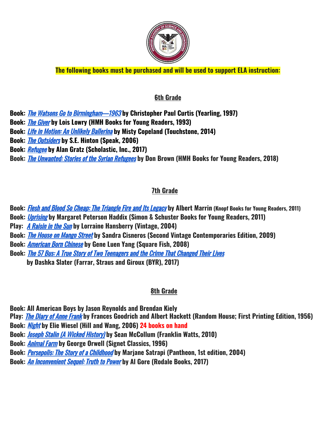

**The following books must be purchased and will be used to support ELA instruction:**

## **6th Grade**

**Book:** The Watsons Go to [Birmingham—1963](https://www.amazon.com/dp/0440414121/?tag=fishtanklearning-20) **by Christopher Paul Curtis (Yearling, 1997)**

**Book:** The [Giver](https://www.amazon.com/dp/0544336267/?tag=fishtanklearning-20) **by Lois Lowry (HMH Books for Young Readers, 1993)**

**Book:** Life in Motion: An [Unlikely](https://www.amazon.com/dp/1476737991/?tag=fishtanklearning-20) Ballerina **by Misty Copeland (Touchstone, 2014)**

**Book:** The [Outsiders](https://www.amazon.com/dp/014240733X/?tag=fishtanklearning-20) **by S.E. Hinton (Speak, 2006)**

**Book:** [Refugee](https://www.amazon.com/dp/B06WVDCDQG/?tag=fishtanklearning-20) **by Alan Gratz (Scholastic, Inc., 2017)**

**Book:** The Unwanted: Stories of the Syrian [Refugees](https://www.amazon.com/dp/B07D6Z9DNY/?tag=fishtanklearning-20) **by Don Brown (HMH Books for Young Readers, 2018)**

# **7th Grade**

**Book:** Flesh and Blood So Cheap: The [Triangle](https://www.amazon.com/dp/0375868895/?tag=fishtanklearning-20) Fire and Its Legacy **by Albert Marrin (Knopf Books for Young Readers, 2011)**

**Book:** [Uprising](https://www.amazon.com/dp/1416911723/?tag=fishtanklearning-20) **by Margaret Peterson Haddix (Simon & Schuster Books for Young Readers, 2011)**

**Play:** A [Raisin](https://www.amazon.com/dp/0679755330/?tag=fishtanklearning-20) in the Sun **by Lorraine Hansberry (Vintage, 2004)**

**Book:** The House on [Mango](https://www.amazon.com/dp/0679734775/?tag=fishtanklearning-20) Street **by Sandra Cisneros (Second Vintage Contemporaries Edition, 2009)**

**Book:** [American](https://www.amazon.com/dp/0312384483/?tag=fishtanklearning-20) Born Chinese **by Gene Luen Yang (Square Fish, 2008)**

**Book:** The 57 Bus: A True Story of Two [Teenagers](https://www.amazon.com/dp/0374303231/?tag=fishtanklearning-20) and the Crime That Changed Their Lives

**by Dashka Slater (Farrar, Straus and Giroux (BYR), 2017)**

# **8th Grade**

**Book: All American Boys by Jason Reynolds and Brendan Kiely**

**Play:** The [Diary](https://www.amazon.com/dp/082221718X/?tag=fishtanklearning-20) of Anne Frank **by Frances Goodrich and Albert Hackett (Random House; First Printing Edition, 1956)**

**Book:** [Night](https://www.amazon.com/dp/0374500010/?tag=fishtanklearning-20) **by Elie Wiesel (Hill and Wang, 2006) 24 books on hand**

**Book:** Joseph Stalin (A Wicked [History\)](https://www.amazon.com/dp/0531223558/?tag=fishtanklearning-20) **by Sean McCollum (Franklin Watts, 2010)**

**Book:** [Animal](https://www.amazon.com/dp/0451526341/?tag=fishtanklearning-20) Farm **by George Orwell (Signet Classics, 1996)**

**Book:** [Persepolis:](https://www.amazon.com/dp/037571457X/?tag=fishtanklearning-20) The Story of <sup>a</sup> Childhood **by Marjane Satrapi (Pantheon, 1st edition, 2004)**

**Book:** An [Inconvenient](https://www.amazon.com/dp/1635651085/?tag=fishtanklearning-20) Sequel: Truth to Power **by Al Gore (Rodale Books, 2017)**